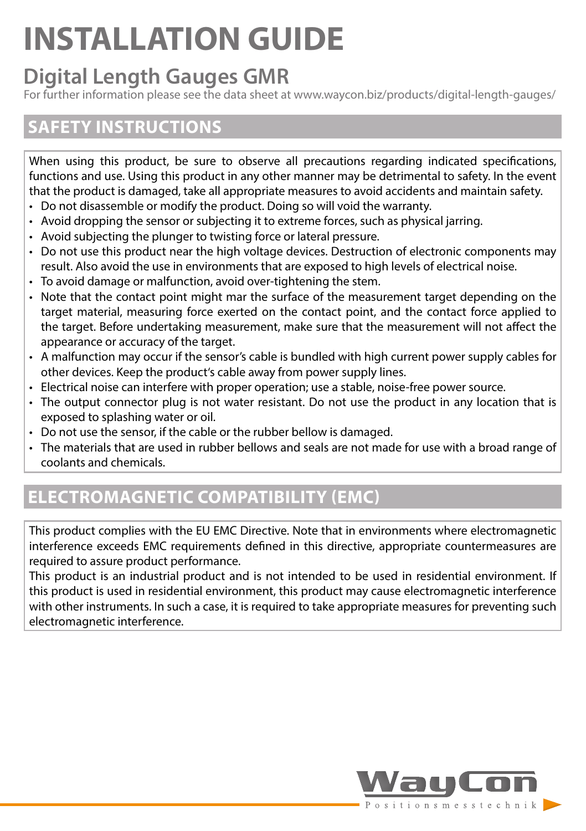# **INSTALLATION GUIDE**

# **Digital Length Gauges GMR**

For further information please see the data sheet at www.waycon.biz/products/digital-length-gauges/

### **SAFETY INSTRUCTIONS**

When using this product, be sure to observe all precautions regarding indicated specifications, functions and use. Using this product in any other manner may be detrimental to safety. In the event that the product is damaged, take all appropriate measures to avoid accidents and maintain safety.

- Do not disassemble or modify the product. Doing so will void the warranty.
- Avoid dropping the sensor or subjecting it to extreme forces, such as physical jarring.
- Avoid subjecting the plunger to twisting force or lateral pressure.
- Do not use this product near the high voltage devices. Destruction of electronic components may result. Also avoid the use in environments that are exposed to high levels of electrical noise.
- To avoid damage or malfunction, avoid over-tightening the stem.
- Note that the contact point might mar the surface of the measurement target depending on the target material, measuring force exerted on the contact point, and the contact force applied to the target. Before undertaking measurement, make sure that the measurement will not affect the appearance or accuracy of the target.
- A malfunction may occur if the sensor's cable is bundled with high current power supply cables for other devices. Keep the product's cable away from power supply lines.
- Electrical noise can interfere with proper operation; use a stable, noise-free power source.
- The output connector plug is not water resistant. Do not use the product in any location that is exposed to splashing water or oil.
- Do not use the sensor, if the cable or the rubber bellow is damaged.
- The materials that are used in rubber bellows and seals are not made for use with a broad range of coolants and chemicals.

# **ELECTROMAGNETIC COMPATIBILITY (EMC)**

This product complies with the EU EMC Directive. Note that in environments where electromagnetic interference exceeds EMC requirements defined in this directive, appropriate countermeasures are required to assure product performance.

This product is an industrial product and is not intended to be used in residential environment. If this product is used in residential environment, this product may cause electromagnetic interference with other instruments. In such a case, it is required to take appropriate measures for preventing such electromagnetic interference.

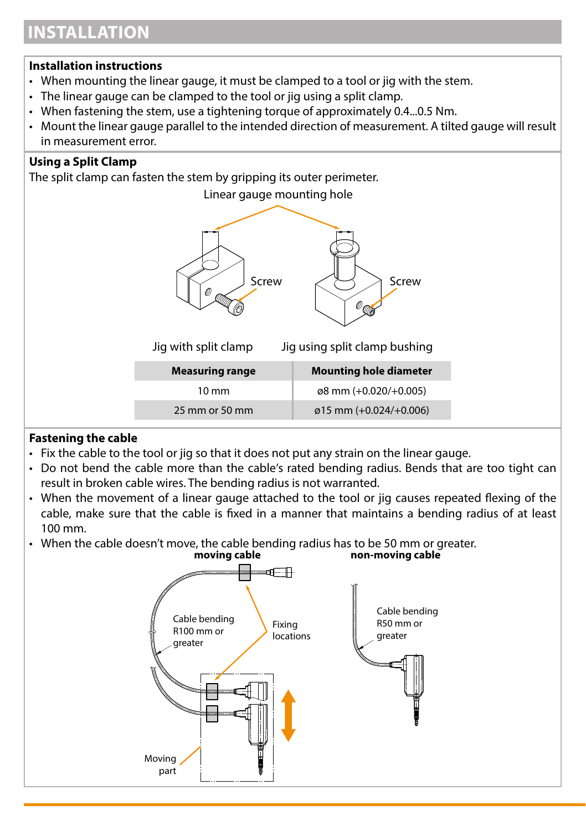# **INSTALLATION**

#### **Installation instructions**

- When mounting the linear gauge, it must be clamped to a tool or jig with the stem.
- The linear gauge can be clamped to the tool or jig using a split clamp.
- When fastening the stem, use a tightening torque of approximately 0.4...0.5 Nm.
- Mount the linear gauge parallel to the intended direction of measurement. A tilted gauge will result in measurement error.

#### **Using a Split Clamp**

The split clamp can fasten the stem by gripping its outer perimeter.



#### **Fastening the cable**

- Fix the cable to the tool or jig so that it does not put any strain on the linear gauge.
- Do not bend the cable more than the cable's rated bending radius. Bends that are too tight can result in broken cable wires. The bending radius is not warranted.
- When the movement of a linear gauge attached to the tool or jig causes repeated flexing of the cable, make sure that the cable is fixed in a manner that maintains a bending radius of at least 100 mm.
- When the cable doesn't move, the cable bending radius has to be 50 mm or greater.

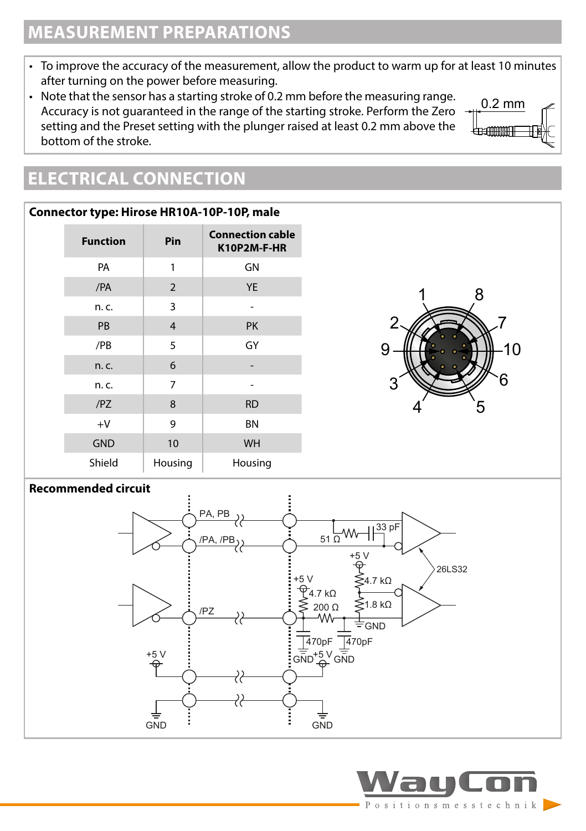# **MEASUREMENT PREPARATIONS**

- To improve the accuracy of the measurement, allow the product to warm up for at least 10 minutes after turning on the power before measuring.
- Note that the sensor has a starting stroke of 0.2 mm before the measuring range. Accuracy is not guaranteed in the range of the starting stroke. Perform the Zero setting and the Preset setting with the plunger raised at least 0.2 mm above the bottom of the stroke.



#### **Connector type: Hirose HR10A-10P-10P, male**

| <b>Function</b> | Pin            | <b>Connection cable</b><br>K10P2M-F-HR |
|-----------------|----------------|----------------------------------------|
| PA              | 1              | GN                                     |
| /PA             | 2              | <b>YE</b>                              |
| n. c.           | 3              |                                        |
| PB              | $\overline{4}$ | PK                                     |
| /PB             | 5              | GY                                     |
| n. c.           | 6              |                                        |
| n. c.           | 7              |                                        |
| /PZ             | 8              | <b>RD</b>                              |
| $+V$            | 9              | <b>BN</b>                              |
| <b>GND</b>      | 10             | WH                                     |
| Shield          | Housing        | Housing                                |



0.2 mm

<del>⊥µmmm</del>

#### **Recommended circuit**